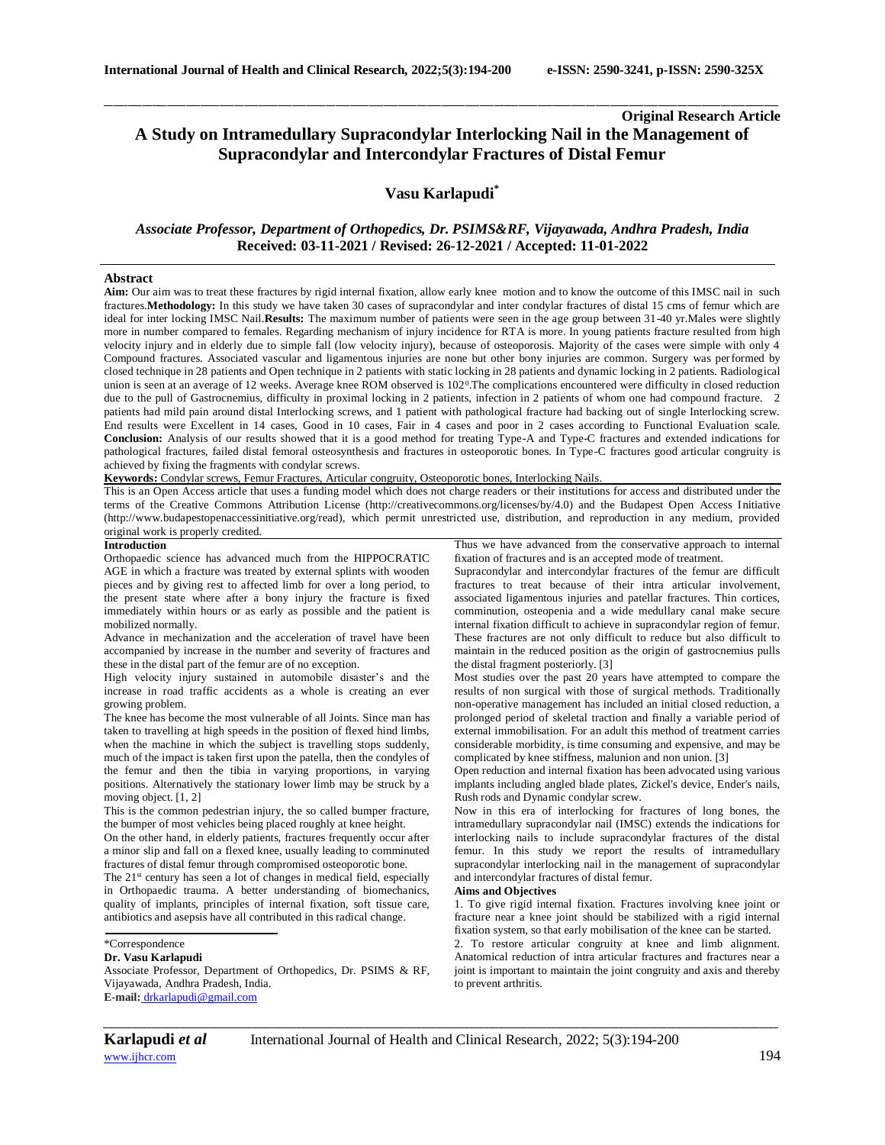# **Original Research Article A Study on Intramedullary Supracondylar Interlocking Nail in the Management of Supracondylar and Intercondylar Fractures of Distal Femur**

## **Vasu Karlapudi\***

\_\_\_\_\_\_\_\_\_\_\_\_\_\_\_\_\_\_\_\_\_\_\_\_\_\_\_\_\_\_\_\_\_\_\_\_\_\_\_\_\_\_\_\_\_\_\_\_\_\_\_\_\_\_\_\_\_\_\_\_\_\_\_\_\_\_\_\_\_\_\_\_\_\_\_\_\_\_\_\_\_\_\_\_\_\_\_\_\_\_\_\_\_\_\_\_\_\_\_\_\_\_\_\_\_\_\_\_\_\_\_\_\_\_\_\_\_\_\_\_\_\_\_\_\_\_\_\_\_\_\_\_\_\_\_\_\_\_\_\_

## *Associate Professor, Department of Orthopedics, Dr. PSIMS&RF, Vijayawada, Andhra Pradesh, India* **Received: 03-11-2021 / Revised: 26-12-2021 / Accepted: 11-01-2022**

## **Abstract**

**Aim:** Our aim was to treat these fractures by rigid internal fixation, allow early knee motion and to know the outcome of this IMSC nail in such fractures.**Methodology:** In this study we have taken 30 cases of supracondylar and inter condylar fractures of distal 15 cms of femur which are ideal for inter locking IMSC Nail.**Results:** The maximum number of patients were seen in the age group between 31-40 yr.Males were slightly more in number compared to females. Regarding mechanism of injury incidence for RTA is more. In young patients fracture resulted from high velocity injury and in elderly due to simple fall (low velocity injury), because of osteoporosis. Majority of the cases were simple with only 4 Compound fractures. Associated vascular and ligamentous injuries are none but other bony injuries are common. Surgery was performed by closed technique in 28 patients and Open technique in 2 patients with static locking in 28 patients and dynamic locking in 2 patients. Radiological union is seen at an average of 12 weeks. Average knee ROM observed is 102<sup>0</sup>. The complications encountered were difficulty in closed reduction due to the pull of Gastrocnemius, difficulty in proximal locking in 2 patients, infection in 2 patients of whom one had compound fracture. 2 patients had mild pain around distal Interlocking screws, and 1 patient with pathological fracture had backing out of single Interlocking screw. End results were Excellent in 14 cases, Good in 10 cases, Fair in 4 cases and poor in 2 cases according to Functional Evaluation scale. **Conclusion:** Analysis of our results showed that it is a good method for treating Type-A and Type-C fractures and extended indications for pathological fractures, failed distal femoral osteosynthesis and fractures in osteoporotic bones. In Type-C fractures good articular congruity is achieved by fixing the fragments with condylar screws.

**Keywords:** Condylar screws, Femur Fractures, Articular congruity, Osteoporotic bones, Interlocking Nails.

This is an Open Access article that uses a funding model which does not charge readers or their institutions for access and distributed under the terms of the Creative Commons Attribution License (http://creativecommons.org/licenses/by/4.0) and the Budapest Open Access Initiative (http://www.budapestopenaccessinitiative.org/read), which permit unrestricted use, distribution, and reproduction in any medium, provided original work is properly credited.

#### **Introduction**

Orthopaedic science has advanced much from the HIPPOCRATIC AGE in which a fracture was treated by external splints with wooden pieces and by giving rest to affected limb for over a long period, to the present state where after a bony injury the fracture is fixed immediately within hours or as early as possible and the patient is mobilized normally.

Advance in mechanization and the acceleration of travel have been accompanied by increase in the number and severity of fractures and these in the distal part of the femur are of no exception.

High velocity injury sustained in automobile disaster's and the increase in road traffic accidents as a whole is creating an ever growing problem.

The knee has become the most vulnerable of all Joints. Since man has taken to travelling at high speeds in the position of flexed hind limbs, when the machine in which the subject is travelling stops suddenly, much of the impact is taken first upon the patella, then the condyles of the femur and then the tibia in varying proportions, in varying positions. Alternatively the stationary lower limb may be struck by a moving object. [1, 2]

This is the common pedestrian injury, the so called bumper fracture, the bumper of most vehicles being placed roughly at knee height.

On the other hand, in elderly patients, fractures frequently occur after a minor slip and fall on a flexed knee, usually leading to comminuted fractures of distal femur through compromised osteoporotic bone.

The 21<sup>st</sup> century has seen a lot of changes in medical field, especially in Orthopaedic trauma. A better understanding of biomechanics, quality of implants, principles of internal fixation, soft tissue care, antibiotics and asepsis have all contributed in this radical change.

## \*Correspondence

### **Dr. Vasu Karlapudi**

Associate Professor, Department of Orthopedics, Dr. PSIMS & RF, Vijayawada, Andhra Pradesh, India. **E-mail:** [drkarlapudi@gmail.com](mailto:drkarlapudi@gmail.com)

Thus we have advanced from the conservative approach to internal fixation of fractures and is an accepted mode of treatment.

Supracondylar and intercondylar fractures of the femur are difficult fractures to treat because of their intra articular involvement, associated ligamentous injuries and patellar fractures. Thin cortices, comminution, osteopenia and a wide medullary canal make secure internal fixation difficult to achieve in supracondylar region of femur. These fractures are not only difficult to reduce but also difficult to maintain in the reduced position as the origin of gastrocnemius pulls the distal fragment posteriorly. [3]

Most studies over the past 20 years have attempted to compare the results of non surgical with those of surgical methods. Traditionally non-operative management has included an initial closed reduction, a prolonged period of skeletal traction and finally a variable period of external immobilisation. For an adult this method of treatment carries considerable morbidity, is time consuming and expensive, and may be complicated by knee stiffness, malunion and non union. [3]

Open reduction and internal fixation has been advocated using various implants including angled blade plates, Zickel's device, Ender's nails, Rush rods and Dynamic condylar screw.

Now in this era of interlocking for fractures of long bones, the intramedullary supracondylar nail (IMSC) extends the indications for interlocking nails to include supracondylar fractures of the distal femur. In this study we report the results of intramedullary supracondylar interlocking nail in the management of supracondylar and intercondylar fractures of distal femur.

## **Aims and Objectives**

1. To give rigid internal fixation. Fractures involving knee joint or fracture near a knee joint should be stabilized with a rigid internal fixation system, so that early mobilisation of the knee can be started.

2. To restore articular congruity at knee and limb alignment. Anatomical reduction of intra articular fractures and fractures near a joint is important to maintain the joint congruity and axis and thereby to prevent arthritis.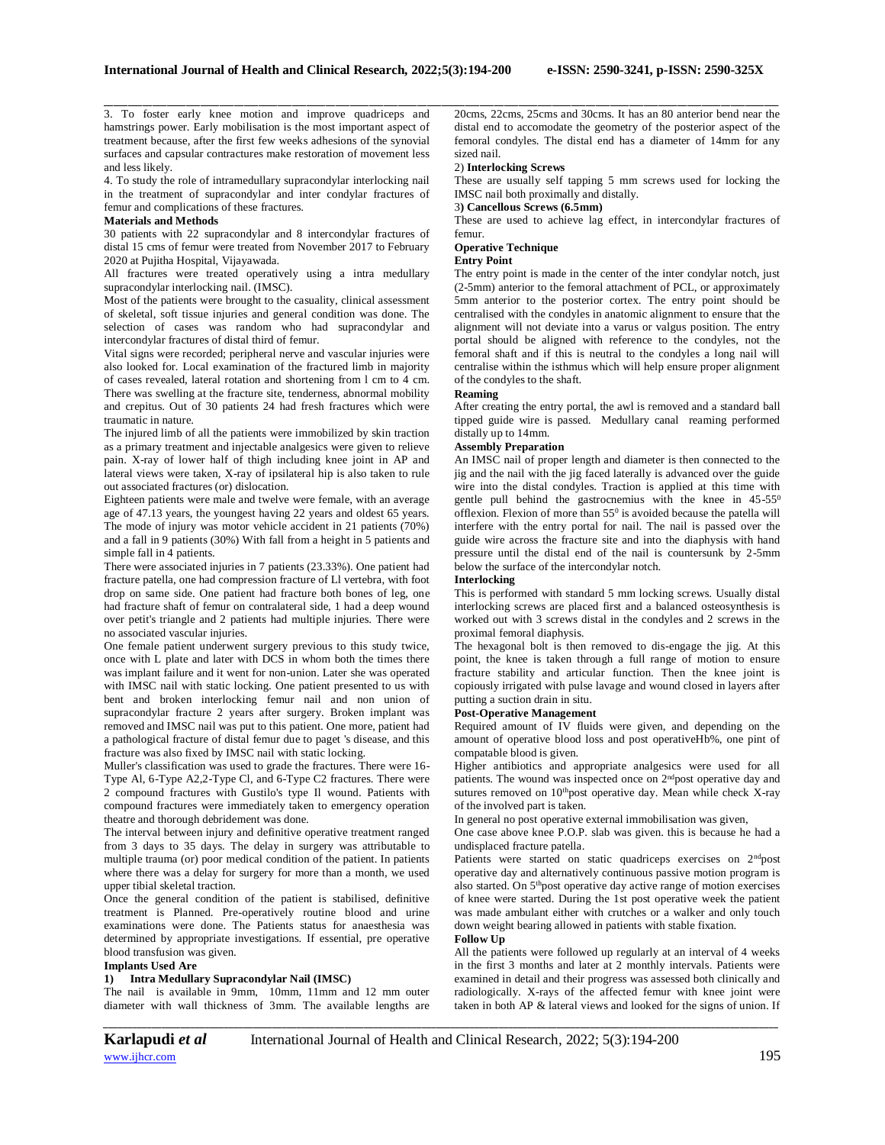3. To foster early knee motion and improve quadriceps and hamstrings power. Early mobilisation is the most important aspect of treatment because, after the first few weeks adhesions of the synovial surfaces and capsular contractures make restoration of movement less and less likely.

4. To study the role of intramedullary supracondylar interlocking nail in the treatment of supracondylar and inter condylar fractures of femur and complications of these fractures.

## **Materials and Methods**

30 patients with 22 supracondylar and 8 intercondylar fractures of distal 15 cms of femur were treated from November 2017 to February 2020 at Pujitha Hospital, Vijayawada.

All fractures were treated operatively using a intra medullary supracondylar interlocking nail. (IMSC).

Most of the patients were brought to the casuality, clinical assessment of skeletal, soft tissue injuries and general condition was done. The selection of cases was random who had supracondylar and intercondylar fractures of distal third of femur.

Vital signs were recorded; peripheral nerve and vascular injuries were also looked for. Local examination of the fractured limb in majority of cases revealed, lateral rotation and shortening from l cm to 4 cm. There was swelling at the fracture site, tenderness, abnormal mobility and crepitus. Out of 30 patients 24 had fresh fractures which were traumatic in nature.

The injured limb of all the patients were immobilized by skin traction as a primary treatment and injectable analgesics were given to relieve pain. X-ray of lower half of thigh including knee joint in AP and lateral views were taken, X-ray of ipsilateral hip is also taken to rule out associated fractures (or) dislocation.

Eighteen patients were male and twelve were female, with an average age of 47.13 years, the youngest having 22 years and oldest 65 years. The mode of injury was motor vehicle accident in 21 patients (70%) and a fall in 9 patients (30%) With fall from a height in 5 patients and simple fall in 4 patients.

There were associated injuries in 7 patients (23.33%). One patient had fracture patella, one had compression fracture of Ll vertebra, with foot drop on same side. One patient had fracture both bones of leg, one had fracture shaft of femur on contralateral side, 1 had a deep wound over petit's triangle and 2 patients had multiple injuries. There were no associated vascular injuries.

One female patient underwent surgery previous to this study twice, once with L plate and later with DCS in whom both the times there was implant failure and it went for non-union. Later she was operated with IMSC nail with static locking. One patient presented to us with bent and broken interlocking femur nail and non union of supracondylar fracture 2 years after surgery. Broken implant was removed and IMSC nail was put to this patient. One more, patient had a pathological fracture of distal femur due to paget 's disease, and this fracture was also fixed by IMSC nail with static locking.

Muller's classification was used to grade the fractures. There were 16- Type Al, 6-Type A2,2-Type Cl, and 6-Type C2 fractures. There were 2 compound fractures with Gustilo's type Il wound. Patients with compound fractures were immediately taken to emergency operation theatre and thorough debridement was done.

The interval between injury and definitive operative treatment ranged from 3 days to 35 days. The delay in surgery was attributable to multiple trauma (or) poor medical condition of the patient. In patients where there was a delay for surgery for more than a month, we used upper tibial skeletal traction.

Once the general condition of the patient is stabilised, definitive treatment is Planned. Pre-operatively routine blood and urine examinations were done. The Patients status for anaesthesia was determined by appropriate investigations. If essential, pre operative blood transfusion was given.

#### **Implants Used Are**

## **1) Intra Medullary Supracondylar Nail (IMSC)**

The nail is available in 9mm, 10mm, 11mm and 12 mm outer diameter with wall thickness of 3mm. The available lengths are 20cms, 22cms, 25cms and 30cms. It has an 80 anterior bend near the distal end to accomodate the geometry of the posterior aspect of the femoral condyles. The distal end has a diameter of 14mm for any sized nail.

## 2) **Interlocking Screws**

These are usually self tapping 5 mm screws used for locking the IMSC nail both proximally and distally.

## 3**) Cancellous Screws (6.5mm)**

These are used to achieve lag effect, in intercondylar fractures of femur.

## **Operative Technique**

**Entry Point**

\_\_\_\_\_\_\_\_\_\_\_\_\_\_\_\_\_\_\_\_\_\_\_\_\_\_\_\_\_\_\_\_\_\_\_\_\_\_\_\_\_\_\_\_\_\_\_\_\_\_\_\_\_\_\_\_\_\_\_\_\_\_\_\_\_\_\_\_\_\_\_\_\_\_\_\_\_\_\_\_\_\_\_\_\_\_\_\_\_\_\_\_\_\_\_\_\_\_\_\_\_\_\_\_\_\_\_\_\_\_\_\_\_\_\_\_\_\_\_\_\_\_\_\_\_\_\_\_\_\_\_\_\_\_\_\_\_\_\_\_

The entry point is made in the center of the inter condylar notch, just (2-5mm) anterior to the femoral attachment of PCL, or approximately 5mm anterior to the posterior cortex. The entry point should be centralised with the condyles in anatomic alignment to ensure that the alignment will not deviate into a varus or valgus position. The entry portal should be aligned with reference to the condyles, not the femoral shaft and if this is neutral to the condyles a long nail will centralise within the isthmus which will help ensure proper alignment of the condyles to the shaft.

#### **Reaming**

After creating the entry portal, the awl is removed and a standard ball tipped guide wire is passed. Medullary canal reaming performed distally up to 14mm.

### **Assembly Preparation**

An IMSC nail of proper length and diameter is then connected to the jig and the nail with the jig faced laterally is advanced over the guide wire into the distal condyles. Traction is applied at this time with gentle pull behind the gastrocnemius with the knee in 45-55<sup>0</sup> offlexion. Flexion of more than  $55<sup>0</sup>$  is avoided because the patella will interfere with the entry portal for nail. The nail is passed over the guide wire across the fracture site and into the diaphysis with hand pressure until the distal end of the nail is countersunk by 2-5mm below the surface of the intercondylar notch.

### **Interlocking**

This is performed with standard 5 mm locking screws. Usually distal interlocking screws are placed first and a balanced osteosynthesis is worked out with 3 screws distal in the condyles and 2 screws in the proximal femoral diaphysis.

The hexagonal bolt is then removed to dis-engage the jig. At this point, the knee is taken through a full range of motion to ensure fracture stability and articular function. Then the knee joint is copiously irrigated with pulse lavage and wound closed in layers after putting a suction drain in situ.

### **Post-Operative Management**

Required amount of IV fluids were given, and depending on the amount of operative blood loss and post operativeHb%, one pint of compatable blood is given.

Higher antibiotics and appropriate analgesics were used for all patients. The wound was inspected once on 2ndpost operative day and sutures removed on 10<sup>th</sup>post operative day. Mean while check X-ray of the involved part is taken.

In general no post operative external immobilisation was given,

One case above knee P.O.P. slab was given. this is because he had a undisplaced fracture patella.

Patients were started on static quadriceps exercises on 2<sup>nd</sup>post operative day and alternatively continuous passive motion program is also started. On 5thpost operative day active range of motion exercises of knee were started. During the 1st post operative week the patient was made ambulant either with crutches or a walker and only touch down weight bearing allowed in patients with stable fixation.

## **Follow Up**

All the patients were followed up regularly at an interval of 4 weeks in the first 3 months and later at 2 monthly intervals. Patients were examined in detail and their progress was assessed both clinically and radiologically. X-rays of the affected femur with knee joint were taken in both AP & lateral views and looked for the signs of union. If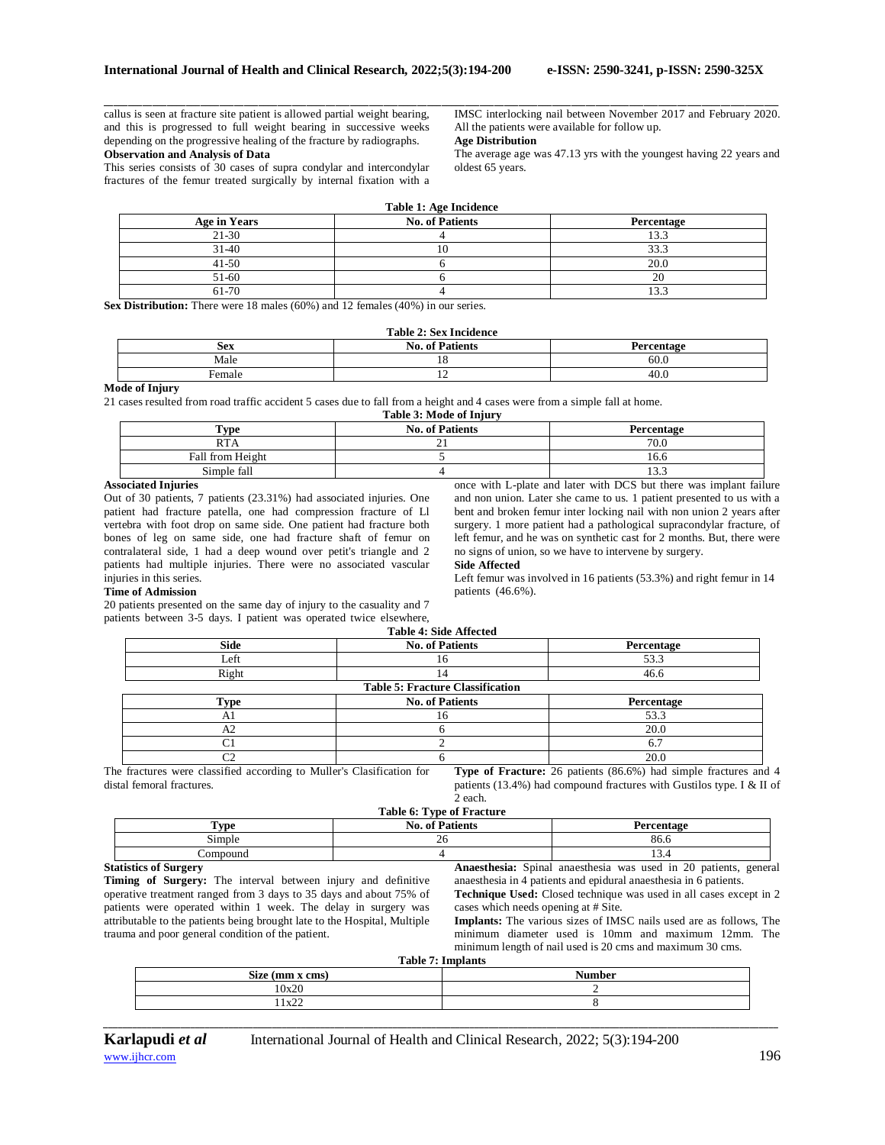callus is seen at fracture site patient is allowed partial weight bearing, and this is progressed to full weight bearing in successive weeks depending on the progressive healing of the fracture by radiographs. **Observation and Analysis of Data**

This series consists of 30 cases of supra condylar and intercondylar fractures of the femur treated surgically by internal fixation with a IMSC interlocking nail between November 2017 and February 2020. All the patients were available for follow up.

## **Age Distribution**

The average age was 47.13 yrs with the youngest having 22 years and oldest 65 years.

| <b>Table 1: Age Incidence</b> |                        |            |  |
|-------------------------------|------------------------|------------|--|
| Age in Years                  | <b>No. of Patients</b> | Percentage |  |
| $21 - 30$                     |                        | 13.3       |  |
| $31-40$                       |                        | 33.3       |  |
| $41 - 50$                     |                        | 20.0       |  |
| 51-60                         |                        | 20         |  |
| 61-70                         |                        | 13.3       |  |

\_\_\_\_\_\_\_\_\_\_\_\_\_\_\_\_\_\_\_\_\_\_\_\_\_\_\_\_\_\_\_\_\_\_\_\_\_\_\_\_\_\_\_\_\_\_\_\_\_\_\_\_\_\_\_\_\_\_\_\_\_\_\_\_\_\_\_\_\_\_\_\_\_\_\_\_\_\_\_\_\_\_\_\_\_\_\_\_\_\_\_\_\_\_\_\_\_\_\_\_\_\_\_\_\_\_\_\_\_\_\_\_\_\_\_\_\_\_\_\_\_\_\_\_\_\_\_\_\_\_\_\_\_\_\_\_\_\_\_\_

**Sex Distribution:** There were 18 males (60%) and 12 females (40%) in our series.

## **Table 2: Sex Incidence**

| <b>Sex</b> | $\cdot$ $\cdot$<br>ationte.<br>No.<br>. ot<br>ень | Jangar<br>המחז |
|------------|---------------------------------------------------|----------------|
| Male       |                                                   | 60.0           |
| emal       | . .                                               | $\sim$<br>40.U |

### **Mode of Injury**

21 cases resulted from road traffic accident 5 cases due to fall from a height and 4 cases were from a simple fall at home. **Table 3: Mode of Injury**

| <b>No. of Patients</b><br>$T$ vpe<br>Percentage |          |                   |  |
|-------------------------------------------------|----------|-------------------|--|
| <b>RTA</b>                                      | <u>.</u> | 70.0              |  |
| Fall from Height                                |          | 16.6              |  |
| Simple fall                                     |          | $\sim$<br>ر. ر. د |  |

## **Associated Injuries**

Out of 30 patients, 7 patients (23.31%) had associated injuries. One patient had fracture patella, one had compression fracture of Ll vertebra with foot drop on same side. One patient had fracture both bones of leg on same side, one had fracture shaft of femur on contralateral side, 1 had a deep wound over petit's triangle and 2 patients had multiple injuries. There were no associated vascular injuries in this series.

once with L-plate and later with DCS but there was implant failure and non union. Later she came to us. 1 patient presented to us with a bent and broken femur inter locking nail with non union 2 years after surgery. 1 more patient had a pathological supracondylar fracture, of left femur, and he was on synthetic cast for 2 months. But, there were no signs of union, so we have to intervene by surgery.

#### **Side Affected**

Left femur was involved in 16 patients (53.3%) and right femur in 14 patients (46.6%).

#### **Time of Admission**

20 patients presented on the same day of injury to the casuality and 7 patients between 3-5 days. I patient was operated twice elsewhere,

|             | Table 4: Side Affected                  |            |
|-------------|-----------------------------------------|------------|
| Side        | <b>No. of Patients</b>                  | Percentage |
| Left        | 16                                      | 53.3       |
| Right       |                                         | 46.6       |
|             | <b>Table 5: Fracture Classification</b> |            |
| <b>Type</b> | <b>No. of Patients</b>                  | Percentage |
| A1          | 16                                      | 53.3       |
| A2          |                                         | 20.0       |
| C1          |                                         | 6.7        |
| C2          |                                         | 20.0       |

The fractures were classified according to Muller's Clasification for distal femoral fractures. **Type of Fracture:** 26 patients (86.6%) had simple fractures and 4 patients (13.4%) had compound fractures with Gustilos type. I & II of 2 each.

| Table 6: Type of Fracture                     |                        |                |  |
|-----------------------------------------------|------------------------|----------------|--|
| $\mathbf{v}_{\mathbf{v}\mathbf{p}\mathbf{e}}$ | <b>No. of Patients</b> | Percentage     |  |
| Simple                                        | zo                     | 86.6           |  |
| Compound                                      |                        | $\sim$<br>15.4 |  |

#### **Statistics of Surgery**

**Timing of Surgery:** The interval between injury and definitive operative treatment ranged from 3 days to 35 days and about 75% of patients were operated within 1 week. The delay in surgery was attributable to the patients being brought late to the Hospital, Multiple trauma and poor general condition of the patient.

**Anaesthesia:** Spinal anaesthesia was used in 20 patients, general anaesthesia in 4 patients and epidural anaesthesia in 6 patients. **Technique Used:** Closed technique was used in all cases except in 2

cases which needs opening at # Site. **Implants:** The various sizes of IMSC nails used are as follows, The minimum diameter used is 10mm and maximum 12mm. The minimum length of nail used is 20 cms and maximum 30 cms.

**Table 7: Implants**

| Size (mm x cms) | $1$ apre $\ell$ ; implants<br><b>Number</b> |
|-----------------|---------------------------------------------|
| 10x20           |                                             |
| 1x22            |                                             |

*\_\_\_\_\_\_\_\_\_\_\_\_\_\_\_\_\_\_\_\_\_\_\_\_\_\_\_\_\_\_\_\_\_\_\_\_\_\_\_\_\_\_\_\_\_\_\_\_\_\_\_\_\_\_\_\_\_\_\_\_\_\_\_\_\_\_\_\_\_\_\_\_\_\_\_\_\_\_\_\_\_\_\_\_\_\_\_\_\_\_\_\_\_\_\_\_\_\_\_\_\_\_\_\_\_\_\_\_\_\_\_\_\_\_\_\_\_\_\_\_\_\_\_\_\_\_\_\_\_\_\_\_\_\_\_\_\_\_\_\_*

[www.ijhcr.com](about:blank) **196**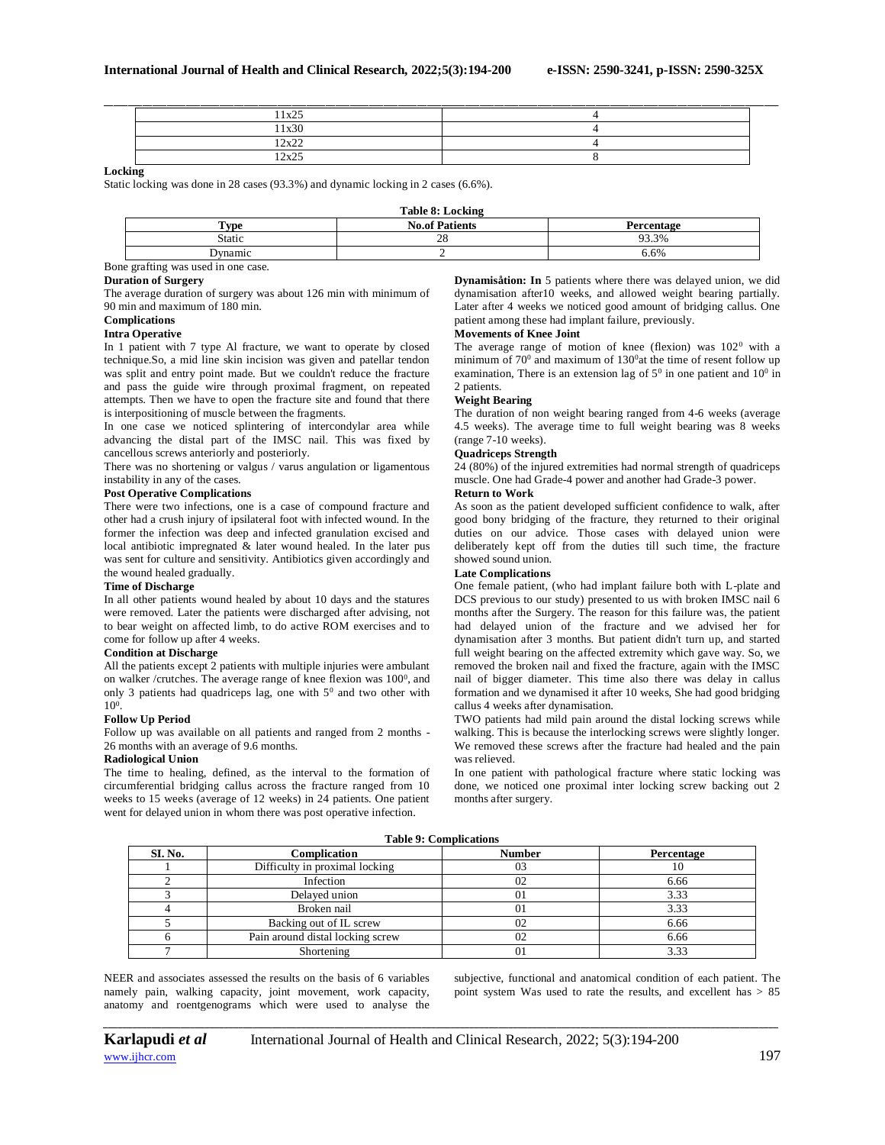| $11x$ 25<br>$1 \Delta 2$ |  |
|--------------------------|--|
| 11x30                    |  |
| 12x22<br>∠∆∠∠            |  |
| 12x25                    |  |

## **Locking**

Static locking was done in 28 cases (93.3%) and dynamic locking in 2 cases (6.6%).

|                                  | Table 8: Locking      |            |
|----------------------------------|-----------------------|------------|
| Type                             | <b>No.of Patients</b> | Percentage |
| Static                           | 28                    | 93.3%      |
| Dvnamic                          |                       | 6.6%       |
| $\sim$ $\sim$<br>$\cdot$ $\cdot$ |                       |            |

Bone grafting was used in one case.

## **Duration of Surgery**

The average duration of surgery was about 126 min with minimum of 90 min and maximum of 180 min.

### **Complications**

**Intra Operative**

In 1 patient with 7 type Al fracture, we want to operate by closed technique.So, a mid line skin incision was given and patellar tendon was split and entry point made. But we couldn't reduce the fracture and pass the guide wire through proximal fragment, on repeated attempts. Then we have to open the fracture site and found that there is interpositioning of muscle between the fragments.

In one case we noticed splintering of intercondylar area while advancing the distal part of the IMSC nail. This was fixed by cancellous screws anteriorly and posteriorly.

There was no shortening or valgus / varus angulation or ligamentous instability in any of the cases.

## **Post Operative Complications**

There were two infections, one is a case of compound fracture and other had a crush injury of ipsilateral foot with infected wound. In the former the infection was deep and infected granulation excised and local antibiotic impregnated & later wound healed. In the later pus was sent for culture and sensitivity. Antibiotics given accordingly and the wound healed gradually.

## **Time of Discharge**

In all other patients wound healed by about 10 days and the statures were removed. Later the patients were discharged after advising, not to bear weight on affected limb, to do active ROM exercises and to come for follow up after 4 weeks.

### **Condition at Discharge**

All the patients except 2 patients with multiple injuries were ambulant on walker / crutches. The average range of knee flexion was  $100^{\circ}$ , and only 3 patients had quadriceps lag, one with 5<sup>0</sup> and two other with 10<sup>0</sup> .

#### **Follow Up Period**

Follow up was available on all patients and ranged from 2 months - 26 months with an average of 9.6 months.

### **Radiological Union**

The time to healing, defined, as the interval to the formation of circumferential bridging callus across the fracture ranged from 10 weeks to 15 weeks (average of 12 weeks) in 24 patients. One patient went for delayed union in whom there was post operative infection.

**Dynamisåtion: In** 5 patients where there was delayed union, we did dynamisation after10 weeks, and allowed weight bearing partially. Later after 4 weeks we noticed good amount of bridging callus. One patient among these had implant failure, previously.

#### **Movements of Knee Joint**

The average range of motion of knee (flexion) was  $102<sup>0</sup>$  with a minimum of 70<sup>0</sup> and maximum of 130<sup>0</sup>at the time of resent follow up examination, There is an extension lag of  $5^0$  in one patient and  $10^0$  in 2 patients.

#### **Weight Bearing**

The duration of non weight bearing ranged from 4-6 weeks (average 4.5 weeks). The average time to full weight bearing was 8 weeks (range 7-10 weeks).

## **Quadriceps Strength**

24 (80%) of the injured extremities had normal strength of quadriceps muscle. One had Grade-4 power and another had Grade-3 power.

## **Return to Work**

As soon as the patient developed sufficient confidence to walk, after good bony bridging of the fracture, they returned to their original duties on our advice. Those cases with delayed union were deliberately kept off from the duties till such time, the fracture showed sound union.

### **Late Complications**

One female patient, (who had implant failure both with L-plate and DCS previous to our study) presented to us with broken IMSC nail 6 months after the Surgery. The reason for this failure was, the patient had delayed union of the fracture and we advised her for dynamisation after 3 months. But patient didn't turn up, and started full weight bearing on the affected extremity which gave way. So, we removed the broken nail and fixed the fracture, again with the IMSC nail of bigger diameter. This time also there was delay in callus formation and we dynamised it after 10 weeks, She had good bridging callus 4 weeks after dynamisation.

TWO patients had mild pain around the distal locking screws while walking. This is because the interlocking screws were slightly longer. We removed these screws after the fracture had healed and the pain was relieved.

In one patient with pathological fracture where static locking was done, we noticed one proximal inter locking screw backing out 2 months after surgery.

|         | Table 7, Complications           |               |            |  |  |
|---------|----------------------------------|---------------|------------|--|--|
| SI. No. | Complication                     | <b>Number</b> | Percentage |  |  |
|         | Difficulty in proximal locking   | UJ            | 10         |  |  |
|         | Infection                        |               | 6.66       |  |  |
|         | Delayed union                    | $\Omega$      | 3.33       |  |  |
|         | Broken nail                      | $\Omega$      | 3.33       |  |  |
|         | Backing out of IL screw          |               | 6.66       |  |  |
|         | Pain around distal locking screw |               | 6.66       |  |  |
|         | Shortening                       |               |            |  |  |

**Table 9: Complications**

NEER and associates assessed the results on the basis of 6 variables namely pain, walking capacity, joint movement, work capacity, anatomy and roentgenograms which were used to analyse the subjective, functional and anatomical condition of each patient. The point system Was used to rate the results, and excellent has > 85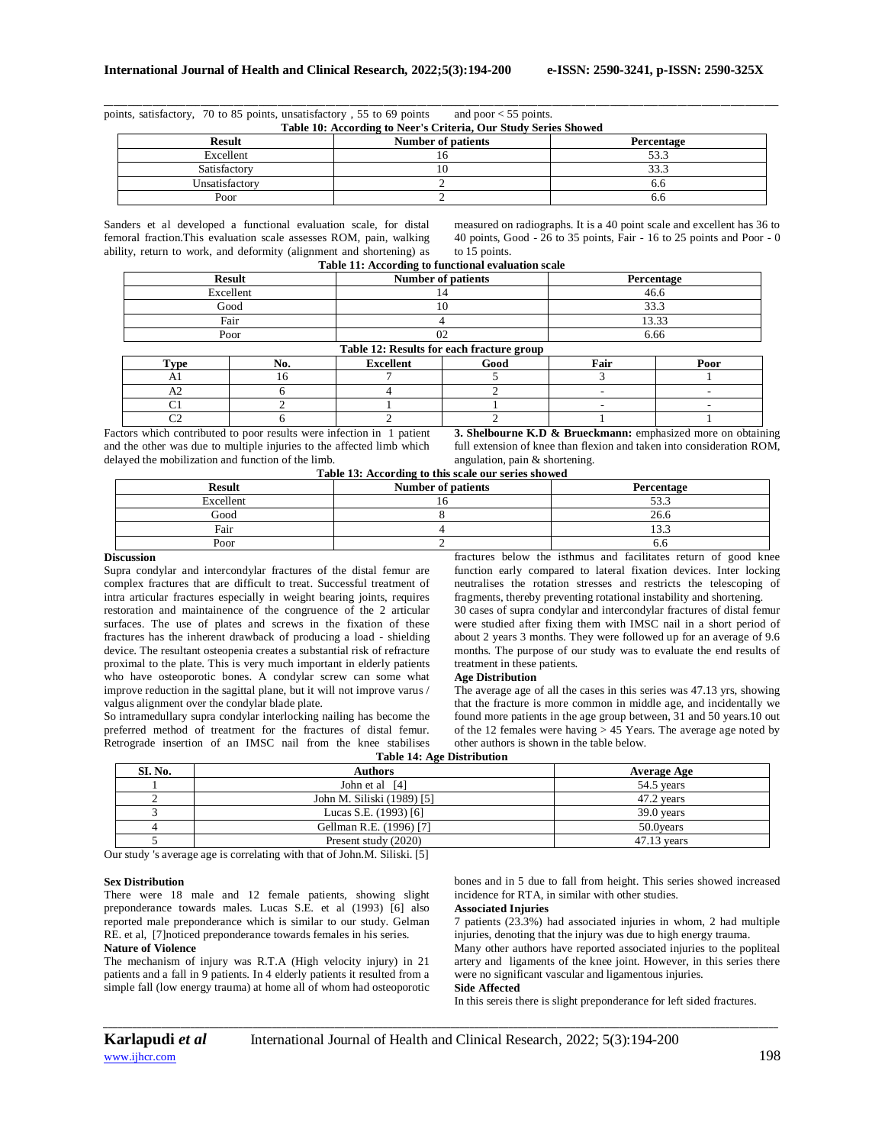points, satisfactory, 70 to 85 points, unsatisfactory , 55 to 69 points and poor < 55 points. **Table 10: According to Neer's Criteria, Our Study Series Showed**

| <b>Result</b>  | Table To. According to Neer 8 Criteria, Our Study Series Showed<br>Percentage |      |
|----------------|-------------------------------------------------------------------------------|------|
| Excellent      |                                                                               | 53.3 |
| Satisfactory   |                                                                               | 33.3 |
| Unsatisfactory |                                                                               | 6.0  |
| Poor           |                                                                               | o.c  |

\_\_\_\_\_\_\_\_\_\_\_\_\_\_\_\_\_\_\_\_\_\_\_\_\_\_\_\_\_\_\_\_\_\_\_\_\_\_\_\_\_\_\_\_\_\_\_\_\_\_\_\_\_\_\_\_\_\_\_\_\_\_\_\_\_\_\_\_\_\_\_\_\_\_\_\_\_\_\_\_\_\_\_\_\_\_\_\_\_\_\_\_\_\_\_\_\_\_\_\_\_\_\_\_\_\_\_\_\_\_\_\_\_\_\_\_\_\_\_\_\_\_\_\_\_\_\_\_\_\_\_\_\_\_\_\_\_\_\_\_

Sanders et al developed a functional evaluation scale, for distal femoral fraction.This evaluation scale assesses ROM, pain, walking ability, return to work, and deformity (alignment and shortening) as

measured on radiographs. It is a 40 point scale and excellent has 36 to 40 points, Good - 26 to 35 points, Fair - 16 to 25 points and Poor - 0 to 15 points.

|                |               | Table 11: According to functional evaluation scale |      |            |      |  |
|----------------|---------------|----------------------------------------------------|------|------------|------|--|
|                | <b>Result</b> | <b>Number of patients</b>                          |      | Percentage |      |  |
|                | Excellent     |                                                    |      | 46.6       |      |  |
|                | Good          | 10                                                 |      | 33.3       |      |  |
|                | Fair          |                                                    |      | 13.33      |      |  |
|                | Poor          |                                                    | 02   |            | 6.66 |  |
|                |               | Table 12: Results for each fracture group          |      |            |      |  |
| Type           | No.           | Excellent                                          | Good | Fair       | Poor |  |
| A1             | 16            |                                                    |      |            |      |  |
| A2             |               |                                                    |      |            |      |  |
| C <sub>1</sub> |               |                                                    |      |            |      |  |
| C2             |               |                                                    |      |            |      |  |

Factors which contributed to poor results were infection in 1 patient and the other was due to multiple injuries to the affected limb which delayed the mobilization and function of the limb. **Table 13: According to this scale our series showed**

**3. Shelbourne K.D & Brueckmann:** emphasized more on obtaining full extension of knee than flexion and taken into consideration ROM, angulation, pain & shortening.

| <b>Result</b> | <b>Number of patients</b> | Percentage        |
|---------------|---------------------------|-------------------|
| Excellent     |                           | 53.3              |
| Good          |                           | 26.6              |
| Fair          |                           | $\sim$<br>ن. ر. ۱ |
| Poor          |                           | o.c               |

## **Discussion**

Supra condylar and intercondylar fractures of the distal femur are complex fractures that are difficult to treat. Successful treatment of intra articular fractures especially in weight bearing joints, requires restoration and maintainence of the congruence of the 2 articular surfaces. The use of plates and screws in the fixation of these fractures has the inherent drawback of producing a load - shielding device. The resultant osteopenia creates a substantial risk of refracture proximal to the plate. This is very much important in elderly patients who have osteoporotic bones. A condylar screw can some what improve reduction in the sagittal plane, but it will not improve varus / valgus alignment over the condylar blade plate.

So intramedullary supra condylar interlocking nailing has become the preferred method of treatment for the fractures of distal femur. Retrograde insertion of an IMSC nail from the knee stabilises fractures below the isthmus and facilitates return of good knee function early compared to lateral fixation devices. Inter locking neutralises the rotation stresses and restricts the telescoping of fragments, thereby preventing rotational instability and shortening.

30 cases of supra condylar and intercondylar fractures of distal femur were studied after fixing them with IMSC nail in a short period of about 2 years 3 months. They were followed up for an average of 9.6 months. The purpose of our study was to evaluate the end results of treatment in these patients.

#### **Age Distribution**

The average age of all the cases in this series was 47.13 yrs, showing that the fracture is more common in middle age, and incidentally we found more patients in the age group between, 31 and 50 years.10 out of the 12 females were having  $> 45$  Years. The average age noted by other authors is shown in the table below.

| <b>Table 14: Age Distribution</b> |  |  |  |
|-----------------------------------|--|--|--|
|                                   |  |  |  |

| SI. No. | <b>Authors</b>             | <b>Average Age</b> |  |
|---------|----------------------------|--------------------|--|
|         | John et al [4]             | 54.5 years         |  |
|         | John M. Siliski (1989) [5] | 47.2 years         |  |
|         | Lucas S.E. (1993) [6]      | $39.0$ vears       |  |
|         | Gellman R.E. (1996) [7]    | 50.0 vears         |  |
|         | Present study (2020)       | $47.13$ vears      |  |

Our study 's average age is correlating with that of John.M. Siliski. [5]

### **Sex Distribution**

There were 18 male and 12 female patients, showing slight preponderance towards males. Lucas S.E. et al (1993) [6] also reported male preponderance which is similar to our study. Gelman RE. et al, [7]noticed preponderance towards females in his series. **Nature of Violence**

### The mechanism of injury was R.T.A (High velocity injury) in 21 patients and a fall in 9 patients. In 4 elderly patients it resulted from a simple fall (low energy trauma) at home all of whom had osteoporotic

bones and in 5 due to fall from height. This series showed increased incidence for RTA, in similar with other studies.

### **Associated Injuries**

7 patients (23.3%) had associated injuries in whom, 2 had multiple injuries, denoting that the injury was due to high energy trauma. Many other authors have reported associated injuries to the popliteal artery and ligaments of the knee joint. However, in this series there were no significant vascular and ligamentous injuries.

#### **Side Affected**

In this sereis there is slight preponderance for left sided fractures.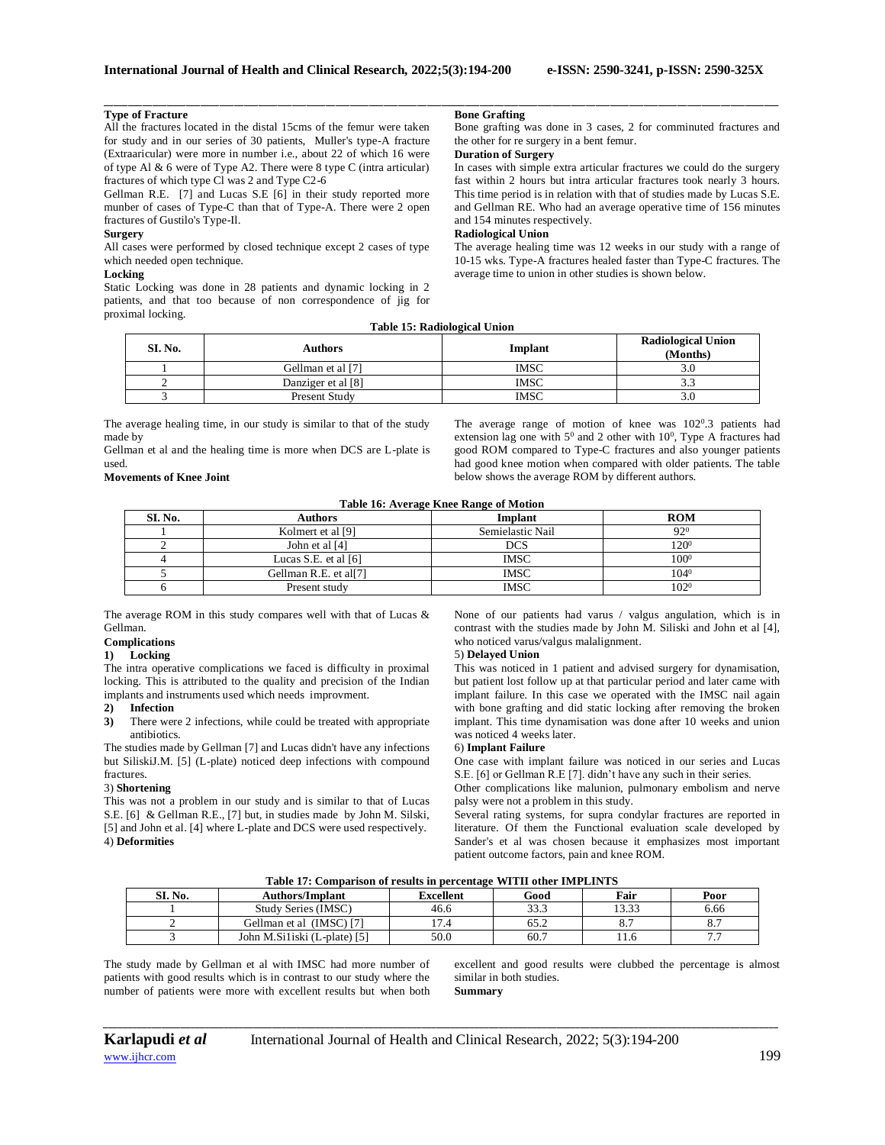## **Type of Fracture**

All the fractures located in the distal 15cms of the femur were taken for study and in our series of 30 patients, Muller's type-A fracture (Extraaricular) were more in number i.e., about 22 of which 16 were of type Al & 6 were of Type A2. There were 8 type C (intra articular) fractures of which type Cl was 2 and Type C2-6

Gellman R.E. [7] and Lucas S.E [6] in their study reported more munber of cases of Type-C than that of Type-A. There were 2 open fractures of Gustilo's Type-Il.

## **Surgery**

All cases were performed by closed technique except 2 cases of type which needed open technique.

## **Locking**

Static Locking was done in 28 patients and dynamic locking in 2 patients, and that too because of non correspondence of jig for proximal locking.

#### **Bone Grafting**

Bone grafting was done in 3 cases, 2 for comminuted fractures and the other for re surgery in a bent femur.

## **Duration of Surgery**

In cases with simple extra articular fractures we could do the surgery fast within 2 hours but intra articular fractures took nearly 3 hours. This time period is in relation with that of studies made by Lucas S.E. and Gellman RE. Who had an average operative time of 156 minutes and 154 minutes respectively.

## **Radiological Union**

The average healing time was 12 weeks in our study with a range of 10-15 wks. Type-A fractures healed faster than Type-C fractures. The average time to union in other studies is shown below.

### **Table 15: Radiological Union**

\_\_\_\_\_\_\_\_\_\_\_\_\_\_\_\_\_\_\_\_\_\_\_\_\_\_\_\_\_\_\_\_\_\_\_\_\_\_\_\_\_\_\_\_\_\_\_\_\_\_\_\_\_\_\_\_\_\_\_\_\_\_\_\_\_\_\_\_\_\_\_\_\_\_\_\_\_\_\_\_\_\_\_\_\_\_\_\_\_\_\_\_\_\_\_\_\_\_\_\_\_\_\_\_\_\_\_\_\_\_\_\_\_\_\_\_\_\_\_\_\_\_\_\_\_\_\_\_\_\_\_\_\_\_\_\_\_\_\_\_

| SI. No. | Authors            | Implant     | <b>Radiological Union</b><br>(Months) |
|---------|--------------------|-------------|---------------------------------------|
|         | Gellman et al [7]  | <b>IMSC</b> | 3.U                                   |
|         | Danziger et al [8] | <b>IMSC</b> | د.د                                   |
|         | Present Study      | <b>IMSC</b> | 3.U                                   |

The average healing time, in our study is similar to that of the study made by

Gellman et al and the healing time is more when DCS are L-plate is used.

## **Movements of Knee Joint**

The average range of motion of knee was  $102^{\circ}.3$  patients had extension lag one with  $5^0$  and 2 other with  $10^0$ , Type A fractures had good ROM compared to Type-C fractures and also younger patients had good knee motion when compared with older patients. The table below shows the average ROM by different authors.

#### **Table 16: Average Knee Range of Motion**

| SI. No. | Authors                           | Implant          | <b>ROM</b>       |
|---------|-----------------------------------|------------------|------------------|
|         | Kolmert et al [9]                 | Semielastic Nail | $92^{0}$         |
|         | John et al [4]                    | <b>DCS</b>       | 120 <sup>0</sup> |
|         | Lucas S.E. et al $[6]$            | <b>IMSC</b>      | $100^{\rm o}$    |
|         | Gellman R.E. et al <sup>[7]</sup> | <b>IMSC</b>      | $104^{0}$        |
|         | Present study                     | <b>IMSC</b>      | $102^{0}$        |

The average ROM in this study compares well with that of Lucas & Gellman.

## **Complications**

## **1) Locking**

The intra operative complications we faced is difficulty in proximal locking. This is attributed to the quality and precision of the Indian implants and instruments used which needs improvment.

### **2) Infection**

**3)** There were 2 infections, while could be treated with appropriate antibiotics.

The studies made by Gellman [7] and Lucas didn't have any infections but SiliskiJ.M. [5] (L-plate) noticed deep infections with compound fractures.

### 3) **Shortening**

This was not a problem in our study and is similar to that of Lucas S.E. [6] & Gellman R.E., [7] but, in studies made by John M. Silski, [5] and John et al. [4] where L-plate and DCS were used respectively. 4) **Deformities**

None of our patients had varus / valgus angulation, which is in contrast with the studies made by John M. Siliski and John et al [4], who noticed varus/valgus malalignment.

### 5) **Delayed Union**

This was noticed in 1 patient and advised surgery for dynamisation, but patient lost follow up at that particular period and later came with implant failure. In this case we operated with the IMSC nail again with bone grafting and did static locking after removing the broken implant. This time dynamisation was done after 10 weeks and union was noticed 4 weeks later.

### 6) **Implant Failure**

One case with implant failure was noticed in our series and Lucas S.E. [6] or Gellman R.E [7]. didn't have any such in their series.

Other complications like malunion, pulmonary embolism and nerve palsy were not a problem in this study.

Several rating systems, for supra condylar fractures are reported in literature. Of them the Functional evaluation scale developed by Sander's et al was chosen because it emphasizes most important patient outcome factors, pain and knee ROM.

| Table 17: Comparison of results in percentage WITII other IMPLINTS |  |
|--------------------------------------------------------------------|--|
|--------------------------------------------------------------------|--|

| SI. No. | <b>Authors/Implant</b>       | <b>Excellent</b> | Good | Fair           | Poor |
|---------|------------------------------|------------------|------|----------------|------|
|         | Study Series (IMSC)          | 46.6             | 33.3 | 12.22<br>13.33 | 6.66 |
|         | Gellman et al (IMSC) [7]     | $\overline{ }$   | 65.2 | o.             | 0. 1 |
|         | John M.Siliski (L-plate) [5] | 50.0             | 60.7 |                | .    |

*\_\_\_\_\_\_\_\_\_\_\_\_\_\_\_\_\_\_\_\_\_\_\_\_\_\_\_\_\_\_\_\_\_\_\_\_\_\_\_\_\_\_\_\_\_\_\_\_\_\_\_\_\_\_\_\_\_\_\_\_\_\_\_\_\_\_\_\_\_\_\_\_\_\_\_\_\_\_\_\_\_\_\_\_\_\_\_\_\_\_\_\_\_\_\_\_\_\_\_\_\_\_\_\_\_\_\_\_\_\_\_\_\_\_\_\_\_\_\_\_\_\_\_\_\_\_\_\_\_\_\_\_\_\_\_\_\_\_\_\_*

The study made by Gellman et al with IMSC had more number of patients with good results which is in contrast to our study where the number of patients were more with excellent results but when both

excellent and good results were clubbed the percentage is almost similar in both studies. **Summary**